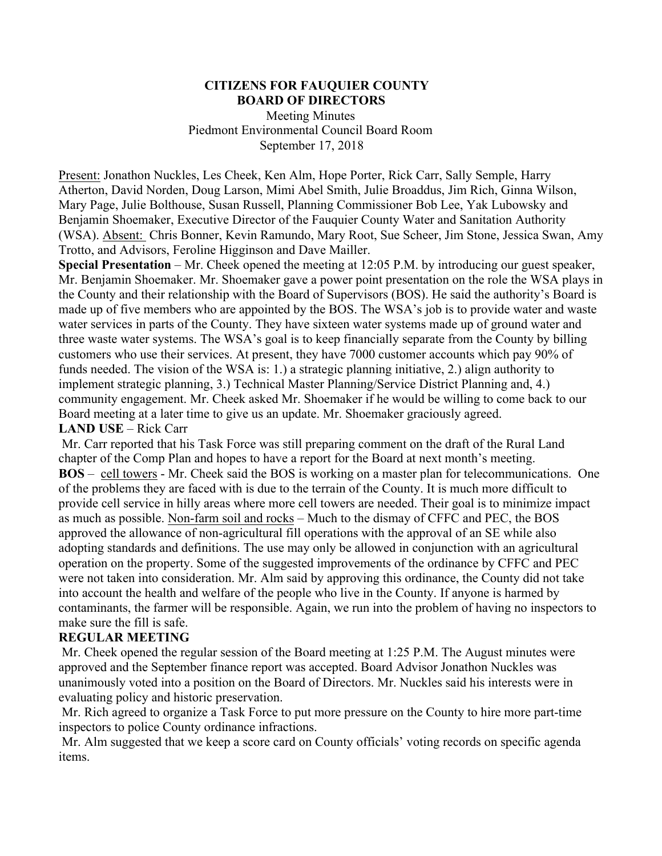#### **CITIZENS FOR FAUQUIER COUNTY BOARD OF DIRECTORS**

 Meeting Minutes Piedmont Environmental Council Board Room September 17, 2018

Present: Jonathon Nuckles, Les Cheek, Ken Alm, Hope Porter, Rick Carr, Sally Semple, Harry Atherton, David Norden, Doug Larson, Mimi Abel Smith, Julie Broaddus, Jim Rich, Ginna Wilson, Mary Page, Julie Bolthouse, Susan Russell, Planning Commissioner Bob Lee, Yak Lubowsky and Benjamin Shoemaker, Executive Director of the Fauquier County Water and Sanitation Authority (WSA). Absent: Chris Bonner, Kevin Ramundo, Mary Root, Sue Scheer, Jim Stone, Jessica Swan, Amy Trotto, and Advisors, Feroline Higginson and Dave Mailler.

**Special Presentation** – Mr. Cheek opened the meeting at 12:05 P.M. by introducing our guest speaker, Mr. Benjamin Shoemaker. Mr. Shoemaker gave a power point presentation on the role the WSA plays in the County and their relationship with the Board of Supervisors (BOS). He said the authority's Board is made up of five members who are appointed by the BOS. The WSA's job is to provide water and waste water services in parts of the County. They have sixteen water systems made up of ground water and three waste water systems. The WSA's goal is to keep financially separate from the County by billing customers who use their services. At present, they have 7000 customer accounts which pay 90% of funds needed. The vision of the WSA is: 1.) a strategic planning initiative, 2.) align authority to implement strategic planning, 3.) Technical Master Planning/Service District Planning and, 4.) community engagement. Mr. Cheek asked Mr. Shoemaker if he would be willing to come back to our Board meeting at a later time to give us an update. Mr. Shoemaker graciously agreed. **LAND USE** – Rick Carr

## Mr. Carr reported that his Task Force was still preparing comment on the draft of the Rural Land chapter of the Comp Plan and hopes to have a report for the Board at next month's meeting. **BOS** – cell towers - Mr. Cheek said the BOS is working on a master plan for telecommunications. One of the problems they are faced with is due to the terrain of the County. It is much more difficult to provide cell service in hilly areas where more cell towers are needed. Their goal is to minimize impact as much as possible. Non-farm soil and rocks – Much to the dismay of CFFC and PEC, the BOS approved the allowance of non-agricultural fill operations with the approval of an SE while also adopting standards and definitions. The use may only be allowed in conjunction with an agricultural operation on the property. Some of the suggested improvements of the ordinance by CFFC and PEC were not taken into consideration. Mr. Alm said by approving this ordinance, the County did not take into account the health and welfare of the people who live in the County. If anyone is harmed by contaminants, the farmer will be responsible. Again, we run into the problem of having no inspectors to make sure the fill is safe.

#### **REGULAR MEETING**

Mr. Cheek opened the regular session of the Board meeting at 1:25 P.M. The August minutes were approved and the September finance report was accepted. Board Advisor Jonathon Nuckles was unanimously voted into a position on the Board of Directors. Mr. Nuckles said his interests were in evaluating policy and historic preservation.

Mr. Rich agreed to organize a Task Force to put more pressure on the County to hire more part-time inspectors to police County ordinance infractions.

Mr. Alm suggested that we keep a score card on County officials' voting records on specific agenda items.